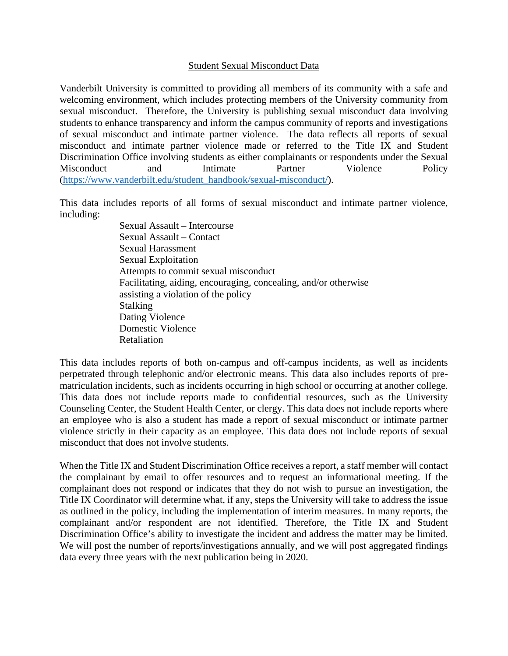## Student Sexual Misconduct Data

Vanderbilt University is committed to providing all members of its community with a safe and welcoming environment, which includes protecting members of the University community from sexual misconduct. Therefore, the University is publishing sexual misconduct data involving students to enhance transparency and inform the campus community of reports and investigations of sexual misconduct and intimate partner violence. The data reflects all reports of sexual misconduct and intimate partner violence made or referred to the Title IX and Student Discrimination Office involving students as either complainants or respondents under the Sexual Misconduct and Intimate Partner Violence Policy [\(https://www.vanderbilt.edu/student\\_handbook/sexual-misconduct/\)](https://www.vanderbilt.edu/student_handbook/sexual-misconduct/).

This data includes reports of all forms of sexual misconduct and intimate partner violence, including:

> Sexual Assault – Intercourse Sexual Assault – Contact Sexual Harassment Sexual Exploitation Attempts to commit sexual misconduct Facilitating, aiding, encouraging, concealing, and/or otherwise assisting a violation of the policy Stalking Dating Violence Domestic Violence Retaliation

This data includes reports of both on-campus and off-campus incidents, as well as incidents perpetrated through telephonic and/or electronic means. This data also includes reports of prematriculation incidents, such as incidents occurring in high school or occurring at another college. This data does not include reports made to confidential resources, such as the University Counseling Center, the Student Health Center, or clergy. This data does not include reports where an employee who is also a student has made a report of sexual misconduct or intimate partner violence strictly in their capacity as an employee. This data does not include reports of sexual misconduct that does not involve students.

When the Title IX and Student Discrimination Office receives a report, a staff member will contact the complainant by email to offer resources and to request an informational meeting. If the complainant does not respond or indicates that they do not wish to pursue an investigation, the Title IX Coordinator will determine what, if any, steps the University will take to address the issue as outlined in the policy, including the implementation of interim measures. In many reports, the complainant and/or respondent are not identified. Therefore, the Title IX and Student Discrimination Office's ability to investigate the incident and address the matter may be limited. We will post the number of reports/investigations annually, and we will post aggregated findings data every three years with the next publication being in 2020.